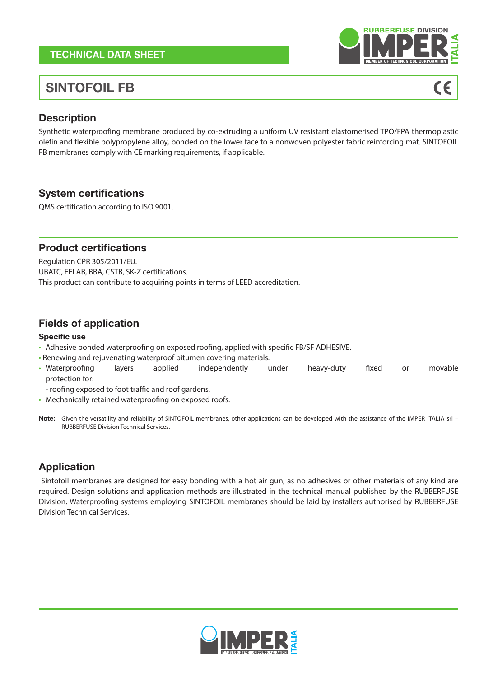## TECHNICAL DATA SHEET

# SINTOFOIL FB

### **Description**

Synthetic waterproofing membrane produced by co-extruding a uniform UV resistant elastomerised TPO/FPA thermoplastic olefin and flexible polypropylene alloy, bonded on the lower face to a nonwoven polyester fabric reinforcing mat. SINTOFOIL FB membranes comply with CE marking requirements, if applicable.

### System certifications

QMS certification according to ISO 9001.

#### Product certifications

Regulation CPR 305/2011/EU. UBATC, EELAB, BBA, CSTB, SK-Z certifications. This product can contribute to acquiring points in terms of LEED accreditation.

### Fields of application

Specific use

- Adhesive bonded waterproofing on exposed roofing, applied with specific FB/SF ADHESIVE.
- Renewing and rejuvenating waterproof bitumen covering materials.
- Waterproofing layers applied independently under heavy-duty fixed or movable protection for:
- roofing exposed to foot traffic and roof gardens.
- Mechanically retained waterproofing on exposed roofs.
- Note: Given the versatility and reliability of SINTOFOIL membranes, other applications can be developed with the assistance of the IMPER ITALIA srl -RUBBERFUSE Division Technical Services.

### Application

 Sintofoil membranes are designed for easy bonding with a hot air gun, as no adhesives or other materials of any kind are required. Design solutions and application methods are illustrated in the technical manual published by the RUBBERFUSE Division. Waterproofing systems employing SINTOFOIL membranes should be laid by installers authorised by RUBBERFUSE Division Technical Services.